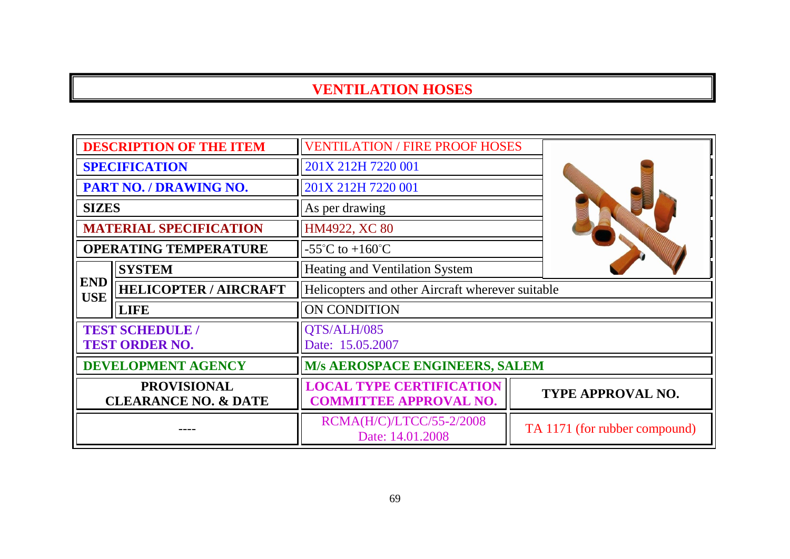|                                                       | <b>DESCRIPTION OF THE ITEM</b>                  | <b>VENTILATION / FIRE PROOF HOSES</b>                            |                               |
|-------------------------------------------------------|-------------------------------------------------|------------------------------------------------------------------|-------------------------------|
|                                                       | <b>SPECIFICATION</b>                            | 201X 212H 7220 001                                               |                               |
|                                                       | PART NO. / DRAWING NO.                          | 201X 212H 7220 001                                               |                               |
| <b>SIZES</b>                                          |                                                 | As per drawing                                                   |                               |
|                                                       | <b>MATERIAL SPECIFICATION</b>                   | HM4922, XC 80                                                    |                               |
|                                                       | <b>OPERATING TEMPERATURE</b>                    | $-55^{\circ}$ C to $+160^{\circ}$ C                              |                               |
|                                                       | <b>SYSTEM</b>                                   | <b>Heating and Ventilation System</b>                            |                               |
| <b>END</b><br><b>USE</b>                              | <b>HELICOPTER / AIRCRAFT</b>                    | Helicopters and other Aircraft wherever suitable                 |                               |
|                                                       | <b>LIFE</b>                                     | ON CONDITION                                                     |                               |
|                                                       | <b>TEST SCHEDULE /</b><br><b>TEST ORDER NO.</b> | QTS/ALH/085<br>Date: 15.05.2007                                  |                               |
|                                                       | <b>DEVELOPMENT AGENCY</b>                       | M/s AEROSPACE ENGINEERS, SALEM                                   |                               |
| <b>PROVISIONAL</b><br><b>CLEARANCE NO. &amp; DATE</b> |                                                 | <b>LOCAL TYPE CERTIFICATION</b><br><b>COMMITTEE APPROVAL NO.</b> | TYPE APPROVAL NO.             |
|                                                       |                                                 | RCMA(H/C)/LTCC/55-2/2008<br>Date: 14.01.2008                     | TA 1171 (for rubber compound) |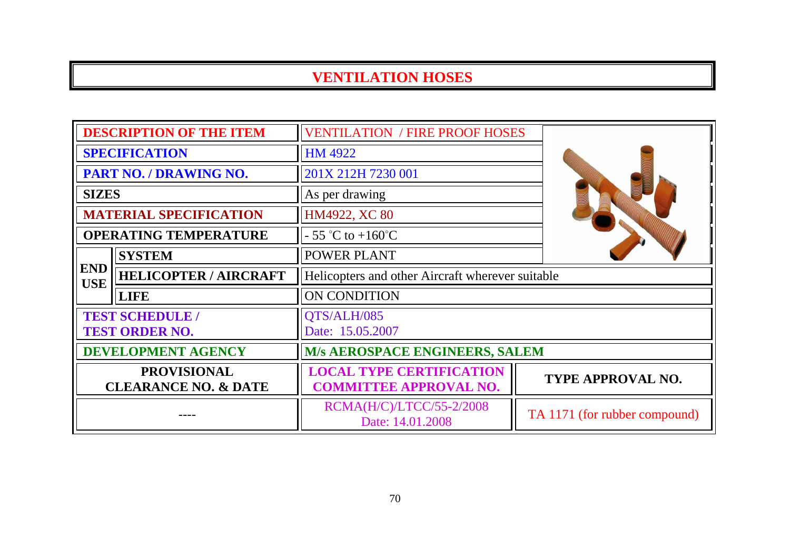| <b>DESCRIPTION OF THE ITEM</b>                        |                               | <b>VENTILATION / FIRE PROOF HOSES</b>                            |                               |
|-------------------------------------------------------|-------------------------------|------------------------------------------------------------------|-------------------------------|
| <b>SPECIFICATION</b>                                  |                               | <b>HM 4922</b>                                                   |                               |
| PART NO. / DRAWING NO.                                |                               | 201X 212H 7230 001                                               |                               |
| <b>SIZES</b>                                          |                               | As per drawing                                                   |                               |
|                                                       | <b>MATERIAL SPECIFICATION</b> | HM4922, XC 80                                                    |                               |
|                                                       | <b>OPERATING TEMPERATURE</b>  | $-55$ °C to $+160$ °C                                            |                               |
|                                                       | <b>SYSTEM</b>                 | <b>POWER PLANT</b>                                               |                               |
| <b>END</b><br><b>USE</b>                              | <b>HELICOPTER / AIRCRAFT</b>  | Helicopters and other Aircraft wherever suitable                 |                               |
|                                                       | <b>LIFE</b>                   | ON CONDITION                                                     |                               |
| <b>TEST SCHEDULE /</b><br><b>TEST ORDER NO.</b>       |                               | QTS/ALH/085<br>Date: 15.05.2007                                  |                               |
| <b>DEVELOPMENT AGENCY</b>                             |                               | <b>M/s AEROSPACE ENGINEERS, SALEM</b>                            |                               |
| <b>PROVISIONAL</b><br><b>CLEARANCE NO. &amp; DATE</b> |                               | <b>LOCAL TYPE CERTIFICATION</b><br><b>COMMITTEE APPROVAL NO.</b> | TYPE APPROVAL NO.             |
|                                                       |                               | RCMA(H/C)/LTCC/55-2/2008<br>Date: 14.01.2008                     | TA 1171 (for rubber compound) |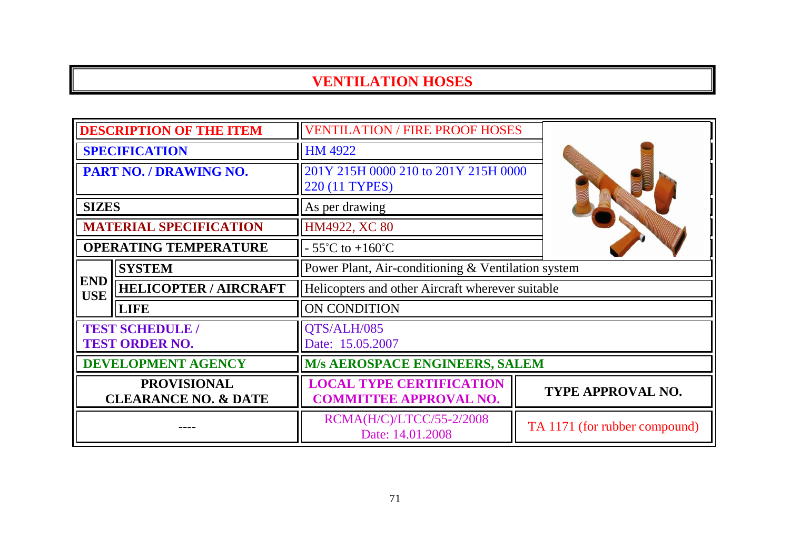| <b>DESCRIPTION OF THE ITEM</b>                        |                                                 | <b>VENTILATION / FIRE PROOF HOSES</b>                            |                               |
|-------------------------------------------------------|-------------------------------------------------|------------------------------------------------------------------|-------------------------------|
| <b>SPECIFICATION</b>                                  |                                                 | HM 4922                                                          |                               |
| PART NO. / DRAWING NO.                                |                                                 | 201Y 215H 0000 210 to 201Y 215H 0000<br>220 (11 TYPES)           |                               |
| <b>SIZES</b>                                          |                                                 | As per drawing                                                   |                               |
|                                                       | <b>MATERIAL SPECIFICATION</b>                   | HM4922, XC 80                                                    |                               |
|                                                       | <b>OPERATING TEMPERATURE</b>                    | $-55^{\circ}$ C to $+160^{\circ}$ C                              |                               |
|                                                       | <b>SYSTEM</b>                                   | Power Plant, Air-conditioning & Ventilation system               |                               |
| <b>END</b><br><b>USE</b>                              | <b>HELICOPTER / AIRCRAFT</b>                    | Helicopters and other Aircraft wherever suitable                 |                               |
|                                                       | <b>LIFE</b>                                     | ON CONDITION                                                     |                               |
|                                                       | <b>TEST SCHEDULE /</b><br><b>TEST ORDER NO.</b> | QTS/ALH/085<br>Date: 15.05.2007                                  |                               |
| <b>DEVELOPMENT AGENCY</b>                             |                                                 | <b>M/s AEROSPACE ENGINEERS, SALEM</b>                            |                               |
| <b>PROVISIONAL</b><br><b>CLEARANCE NO. &amp; DATE</b> |                                                 | <b>LOCAL TYPE CERTIFICATION</b><br><b>COMMITTEE APPROVAL NO.</b> | <b>TYPE APPROVAL NO.</b>      |
|                                                       |                                                 | RCMA(H/C)/LTCC/55-2/2008<br>Date: 14.01.2008                     | TA 1171 (for rubber compound) |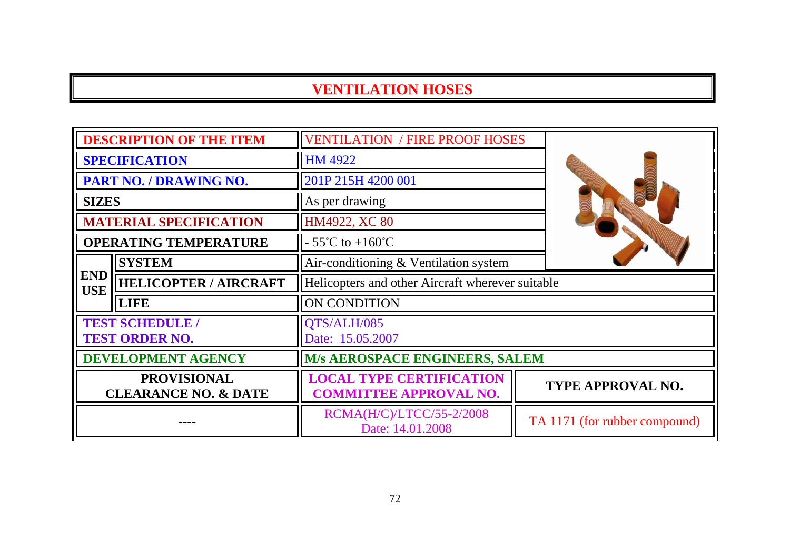| <b>DESCRIPTION OF THE ITEM</b>                        |                                                 | <b>VENTILATION / FIRE PROOF HOSES</b>                            |                               |  |
|-------------------------------------------------------|-------------------------------------------------|------------------------------------------------------------------|-------------------------------|--|
| <b>SPECIFICATION</b>                                  |                                                 | <b>HM 4922</b>                                                   |                               |  |
| PART NO. / DRAWING NO.                                |                                                 | 201P 215H 4200 001                                               |                               |  |
| <b>SIZES</b>                                          |                                                 | As per drawing                                                   |                               |  |
|                                                       | <b>MATERIAL SPECIFICATION</b>                   | HM4922, XC 80                                                    |                               |  |
|                                                       | <b>OPERATING TEMPERATURE</b>                    | $-55^{\circ}$ C to $+160^{\circ}$ C                              |                               |  |
|                                                       | <b>SYSTEM</b>                                   | Air-conditioning & Ventilation system                            |                               |  |
| <b>END</b><br><b>USE</b>                              | <b>HELICOPTER / AIRCRAFT</b>                    | Helicopters and other Aircraft wherever suitable                 |                               |  |
|                                                       | <b>LIFE</b>                                     | ON CONDITION                                                     |                               |  |
|                                                       | <b>TEST SCHEDULE /</b><br><b>TEST ORDER NO.</b> | QTS/ALH/085<br>Date: 15.05.2007                                  |                               |  |
|                                                       | DEVELOPMENT AGENCY                              | <b>M/s AEROSPACE ENGINEERS, SALEM</b>                            |                               |  |
| <b>PROVISIONAL</b><br><b>CLEARANCE NO. &amp; DATE</b> |                                                 | <b>LOCAL TYPE CERTIFICATION</b><br><b>COMMITTEE APPROVAL NO.</b> | TYPE APPROVAL NO.             |  |
|                                                       |                                                 | RCMA(H/C)/LTCC/55-2/2008<br>Date: 14.01.2008                     | TA 1171 (for rubber compound) |  |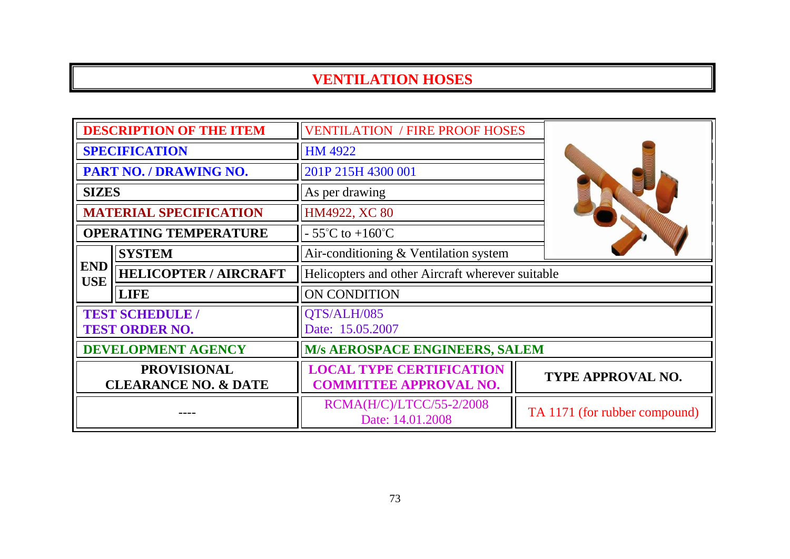| <b>DESCRIPTION OF THE ITEM</b>                        |                                                 | <b>VENTILATION / FIRE PROOF HOSES</b>                            |                               |
|-------------------------------------------------------|-------------------------------------------------|------------------------------------------------------------------|-------------------------------|
| <b>SPECIFICATION</b>                                  |                                                 | <b>HM 4922</b>                                                   |                               |
|                                                       | PART NO. / DRAWING NO.                          | 201P 215H 4300 001                                               |                               |
| <b>SIZES</b>                                          |                                                 | As per drawing                                                   |                               |
|                                                       | <b>MATERIAL SPECIFICATION</b>                   | HM4922, XC 80                                                    |                               |
|                                                       | <b>OPERATING TEMPERATURE</b>                    | $-55^{\circ}$ C to $+160^{\circ}$ C                              |                               |
|                                                       | <b>SYSTEM</b>                                   | Air-conditioning & Ventilation system                            |                               |
| <b>END</b><br><b>USE</b>                              | <b>HELICOPTER / AIRCRAFT</b>                    | Helicopters and other Aircraft wherever suitable                 |                               |
|                                                       | <b>LIFE</b>                                     | ON CONDITION                                                     |                               |
|                                                       | <b>TEST SCHEDULE /</b><br><b>TEST ORDER NO.</b> | QTS/ALH/085<br>Date: 15.05.2007                                  |                               |
| <b>DEVELOPMENT AGENCY</b>                             |                                                 | <b>M/s AEROSPACE ENGINEERS, SALEM</b>                            |                               |
| <b>PROVISIONAL</b><br><b>CLEARANCE NO. &amp; DATE</b> |                                                 | <b>LOCAL TYPE CERTIFICATION</b><br><b>COMMITTEE APPROVAL NO.</b> | TYPE APPROVAL NO.             |
|                                                       |                                                 | RCMA(H/C)/LTCC/55-2/2008<br>Date: 14.01.2008                     | TA 1171 (for rubber compound) |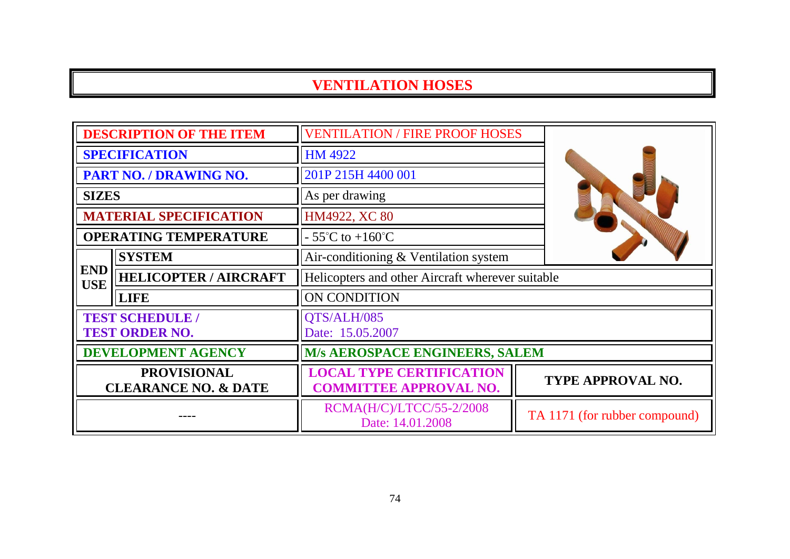| <b>DESCRIPTION OF THE ITEM</b>                        |                                                 | <b>VENTILATION / FIRE PROOF HOSES</b>                            |                               |  |
|-------------------------------------------------------|-------------------------------------------------|------------------------------------------------------------------|-------------------------------|--|
| <b>SPECIFICATION</b>                                  |                                                 | <b>HM 4922</b>                                                   |                               |  |
| PART NO. / DRAWING NO.                                |                                                 | 201P 215H 4400 001                                               |                               |  |
| <b>SIZES</b>                                          |                                                 | As per drawing                                                   |                               |  |
|                                                       | <b>MATERIAL SPECIFICATION</b>                   | HM4922, XC 80                                                    |                               |  |
|                                                       | <b>OPERATING TEMPERATURE</b>                    | $-55^{\circ}$ C to $+160^{\circ}$ C                              |                               |  |
|                                                       | <b>SYSTEM</b>                                   | Air-conditioning & Ventilation system                            |                               |  |
| <b>END</b><br><b>USE</b>                              | <b>HELICOPTER / AIRCRAFT</b>                    | Helicopters and other Aircraft wherever suitable                 |                               |  |
|                                                       | <b>LIFE</b>                                     | ON CONDITION                                                     |                               |  |
|                                                       | <b>TEST SCHEDULE /</b><br><b>TEST ORDER NO.</b> | QTS/ALH/085<br>Date: 15.05.2007                                  |                               |  |
| DEVELOPMENT AGENCY                                    |                                                 | <b>M/s AEROSPACE ENGINEERS, SALEM</b>                            |                               |  |
| <b>PROVISIONAL</b><br><b>CLEARANCE NO. &amp; DATE</b> |                                                 | <b>LOCAL TYPE CERTIFICATION</b><br><b>COMMITTEE APPROVAL NO.</b> | <b>TYPE APPROVAL NO.</b>      |  |
|                                                       |                                                 | RCMA(H/C)/LTCC/55-2/2008<br>Date: 14.01.2008                     | TA 1171 (for rubber compound) |  |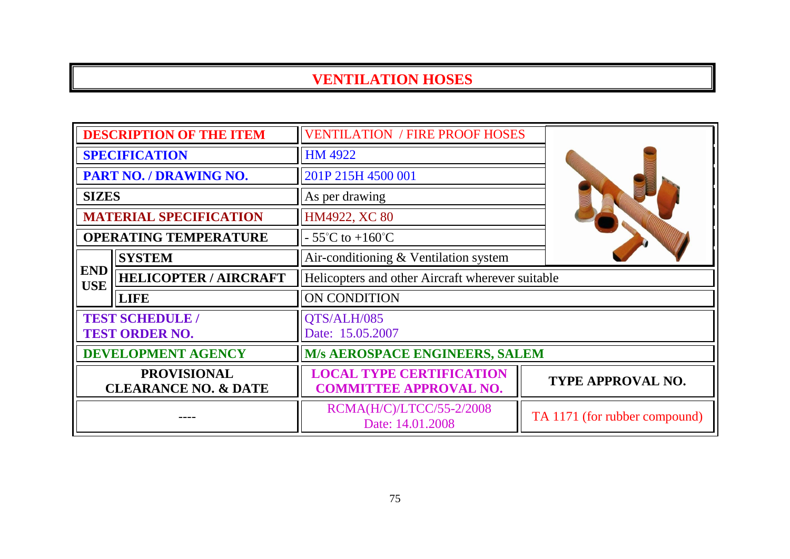| <b>DESCRIPTION OF THE ITEM</b>                        |                                                 | <b>VENTILATION / FIRE PROOF HOSES</b>                            |                               |
|-------------------------------------------------------|-------------------------------------------------|------------------------------------------------------------------|-------------------------------|
| <b>SPECIFICATION</b>                                  |                                                 | <b>HM 4922</b>                                                   |                               |
|                                                       | PART NO. / DRAWING NO.                          | 201P 215H 4500 001                                               |                               |
| <b>SIZES</b>                                          |                                                 | As per drawing                                                   |                               |
|                                                       | <b>MATERIAL SPECIFICATION</b>                   | HM4922, XC 80                                                    |                               |
|                                                       | <b>OPERATING TEMPERATURE</b>                    | $-55^{\circ}$ C to $+160^{\circ}$ C                              |                               |
|                                                       | <b>SYSTEM</b>                                   | Air-conditioning & Ventilation system                            |                               |
| <b>END</b><br><b>USE</b>                              | <b>HELICOPTER / AIRCRAFT</b>                    | Helicopters and other Aircraft wherever suitable                 |                               |
|                                                       | <b>LIFE</b>                                     | ON CONDITION                                                     |                               |
|                                                       | <b>TEST SCHEDULE /</b><br><b>TEST ORDER NO.</b> | QTS/ALH/085<br>Date: 15.05.2007                                  |                               |
| <b>DEVELOPMENT AGENCY</b>                             |                                                 | M/s AEROSPACE ENGINEERS, SALEM                                   |                               |
| <b>PROVISIONAL</b><br><b>CLEARANCE NO. &amp; DATE</b> |                                                 | <b>LOCAL TYPE CERTIFICATION</b><br><b>COMMITTEE APPROVAL NO.</b> | <b>TYPE APPROVAL NO.</b>      |
|                                                       |                                                 | RCMA(H/C)/LTCC/55-2/2008<br>Date: 14.01.2008                     | TA 1171 (for rubber compound) |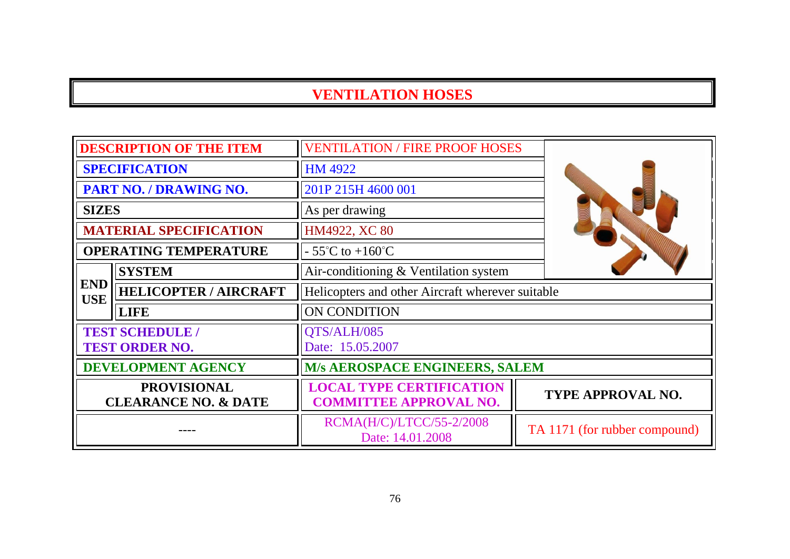| <b>DESCRIPTION OF THE ITEM</b>                        |                               | <b>VENTILATION / FIRE PROOF HOSES</b>                            |                               |
|-------------------------------------------------------|-------------------------------|------------------------------------------------------------------|-------------------------------|
| <b>SPECIFICATION</b>                                  |                               | HM 4922                                                          |                               |
| PART NO. / DRAWING NO.                                |                               | 201P 215H 4600 001                                               |                               |
| <b>SIZES</b>                                          |                               | As per drawing                                                   |                               |
|                                                       | <b>MATERIAL SPECIFICATION</b> | HM4922, XC 80                                                    |                               |
|                                                       | <b>OPERATING TEMPERATURE</b>  | $-55^{\circ}$ C to $+160^{\circ}$ C                              |                               |
|                                                       | <b>SYSTEM</b>                 | Air-conditioning & Ventilation system                            |                               |
| <b>END</b><br><b>USE</b>                              | <b>HELICOPTER / AIRCRAFT</b>  | Helicopters and other Aircraft wherever suitable                 |                               |
|                                                       | <b>LIFE</b>                   | ON CONDITION                                                     |                               |
| <b>TEST SCHEDULE /</b><br><b>TEST ORDER NO.</b>       |                               | QTS/ALH/085<br>Date: 15.05.2007                                  |                               |
| <b>DEVELOPMENT AGENCY</b>                             |                               | <b>M/s AEROSPACE ENGINEERS, SALEM</b>                            |                               |
| <b>PROVISIONAL</b><br><b>CLEARANCE NO. &amp; DATE</b> |                               | <b>LOCAL TYPE CERTIFICATION</b><br><b>COMMITTEE APPROVAL NO.</b> | TYPE APPROVAL NO.             |
|                                                       |                               | RCMA(H/C)/LTCC/55-2/2008<br>Date: 14.01.2008                     | TA 1171 (for rubber compound) |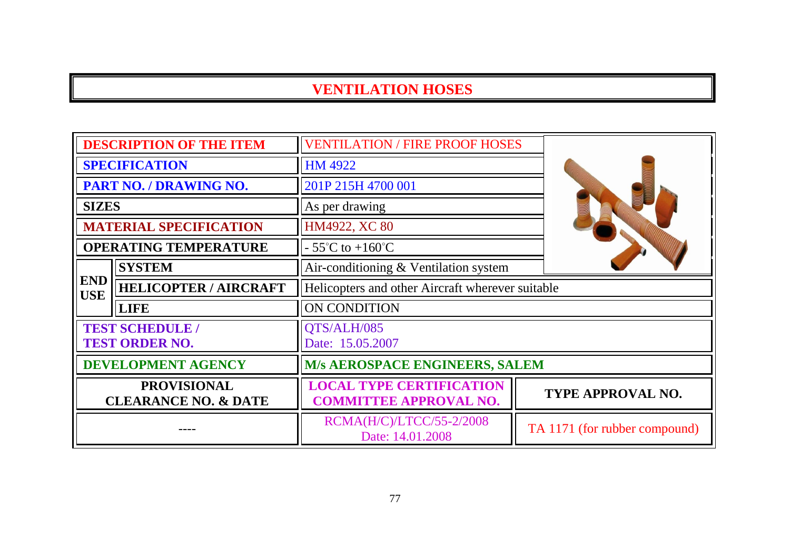| <b>DESCRIPTION OF THE ITEM</b>                        |                                                 | <b>VENTILATION / FIRE PROOF HOSES</b>                            |  |                               |
|-------------------------------------------------------|-------------------------------------------------|------------------------------------------------------------------|--|-------------------------------|
| <b>SPECIFICATION</b>                                  |                                                 | <b>HM 4922</b>                                                   |  |                               |
|                                                       | PART NO. / DRAWING NO.                          | 201P 215H 4700 001                                               |  |                               |
| <b>SIZES</b>                                          |                                                 | As per drawing                                                   |  |                               |
|                                                       | <b>MATERIAL SPECIFICATION</b>                   | HM4922, XC 80                                                    |  |                               |
|                                                       | <b>OPERATING TEMPERATURE</b>                    | $-55^{\circ}$ C to $+160^{\circ}$ C                              |  |                               |
|                                                       | <b>SYSTEM</b>                                   | Air-conditioning & Ventilation system                            |  |                               |
| <b>END</b><br><b>USE</b>                              | <b>HELICOPTER / AIRCRAFT</b>                    | Helicopters and other Aircraft wherever suitable                 |  |                               |
|                                                       | <b>LIFE</b>                                     | ON CONDITION                                                     |  |                               |
|                                                       | <b>TEST SCHEDULE /</b><br><b>TEST ORDER NO.</b> | QTS/ALH/085<br>Date: 15.05.2007                                  |  |                               |
| <b>DEVELOPMENT AGENCY</b>                             |                                                 | <b>M/s AEROSPACE ENGINEERS, SALEM</b>                            |  |                               |
| <b>PROVISIONAL</b><br><b>CLEARANCE NO. &amp; DATE</b> |                                                 | <b>LOCAL TYPE CERTIFICATION</b><br><b>COMMITTEE APPROVAL NO.</b> |  | TYPE APPROVAL NO.             |
|                                                       |                                                 | RCMA(H/C)/LTCC/55-2/2008<br>Date: 14.01.2008                     |  | TA 1171 (for rubber compound) |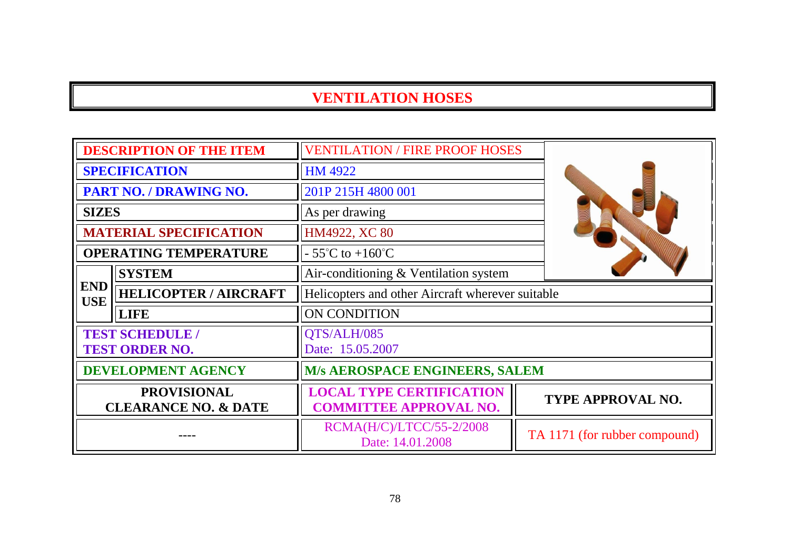| <b>DESCRIPTION OF THE ITEM</b>                        |                                                 | <b>VENTILATION / FIRE PROOF HOSES</b>                            |                               |
|-------------------------------------------------------|-------------------------------------------------|------------------------------------------------------------------|-------------------------------|
| <b>SPECIFICATION</b>                                  |                                                 | HM 4922                                                          |                               |
|                                                       | PART NO. / DRAWING NO.                          | 201P 215H 4800 001                                               |                               |
| <b>SIZES</b>                                          |                                                 | As per drawing                                                   |                               |
|                                                       | <b>MATERIAL SPECIFICATION</b>                   | HM4922, XC 80                                                    |                               |
|                                                       | <b>OPERATING TEMPERATURE</b>                    | $-55^{\circ}$ C to $+160^{\circ}$ C                              |                               |
|                                                       | <b>SYSTEM</b>                                   | Air-conditioning & Ventilation system                            |                               |
| <b>END</b><br><b>USE</b>                              | <b>HELICOPTER / AIRCRAFT</b>                    | Helicopters and other Aircraft wherever suitable                 |                               |
|                                                       | <b>LIFE</b>                                     | ON CONDITION                                                     |                               |
|                                                       | <b>TEST SCHEDULE /</b><br><b>TEST ORDER NO.</b> | QTS/ALH/085<br>Date: 15.05.2007                                  |                               |
| <b>DEVELOPMENT AGENCY</b>                             |                                                 | <b>M/s AEROSPACE ENGINEERS, SALEM</b>                            |                               |
| <b>PROVISIONAL</b><br><b>CLEARANCE NO. &amp; DATE</b> |                                                 | <b>LOCAL TYPE CERTIFICATION</b><br><b>COMMITTEE APPROVAL NO.</b> | TYPE APPROVAL NO.             |
|                                                       |                                                 | RCMA(H/C)/LTCC/55-2/2008<br>Date: 14.01.2008                     | TA 1171 (for rubber compound) |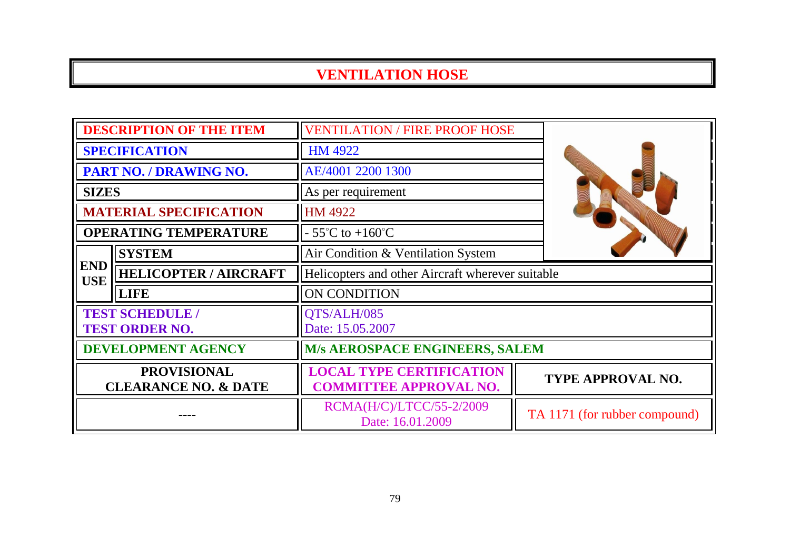| <b>DESCRIPTION OF THE ITEM</b>                        |                                                 | <b>VENTILATION / FIRE PROOF HOSE</b>                             |                               |
|-------------------------------------------------------|-------------------------------------------------|------------------------------------------------------------------|-------------------------------|
| <b>SPECIFICATION</b>                                  |                                                 | <b>HM 4922</b>                                                   |                               |
|                                                       | PART NO. / DRAWING NO.                          | AE/4001 2200 1300                                                |                               |
| <b>SIZES</b>                                          |                                                 | As per requirement                                               |                               |
|                                                       | <b>MATERIAL SPECIFICATION</b>                   | HM 4922                                                          |                               |
|                                                       | <b>OPERATING TEMPERATURE</b>                    | $-55^{\circ}$ C to $+160^{\circ}$ C                              |                               |
|                                                       | <b>SYSTEM</b>                                   | Air Condition & Ventilation System                               |                               |
| <b>END</b><br><b>USE</b>                              | <b>HELICOPTER / AIRCRAFT</b>                    | Helicopters and other Aircraft wherever suitable                 |                               |
|                                                       | <b>LIFE</b>                                     | ON CONDITION                                                     |                               |
|                                                       | <b>TEST SCHEDULE /</b><br><b>TEST ORDER NO.</b> | QTS/ALH/085<br>Date: 15.05.2007                                  |                               |
| <b>DEVELOPMENT AGENCY</b>                             |                                                 | <b>M/s AEROSPACE ENGINEERS, SALEM</b>                            |                               |
| <b>PROVISIONAL</b><br><b>CLEARANCE NO. &amp; DATE</b> |                                                 | <b>LOCAL TYPE CERTIFICATION</b><br><b>COMMITTEE APPROVAL NO.</b> | <b>TYPE APPROVAL NO.</b>      |
|                                                       |                                                 | RCMA(H/C)/LTCC/55-2/2009<br>Date: 16.01.2009                     | TA 1171 (for rubber compound) |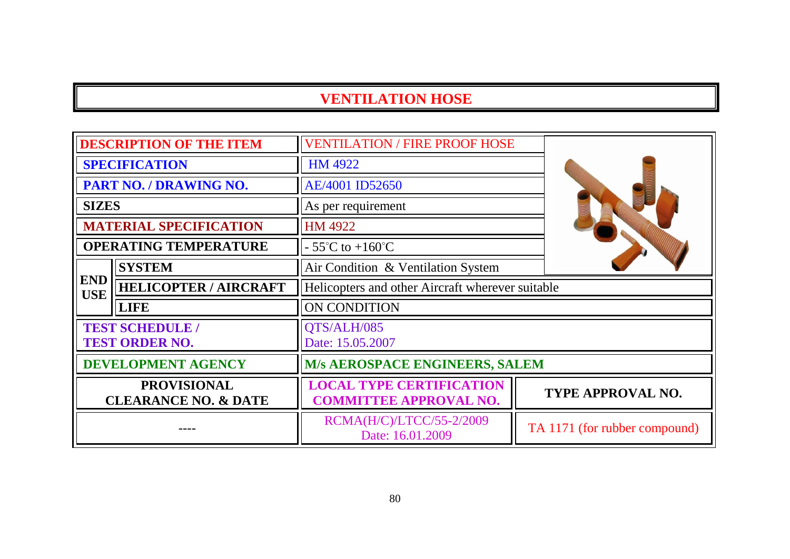| <b>DESCRIPTION OF THE ITEM</b>                                                                               |                                                 | <b>VENTILATION / FIRE PROOF HOSE</b>                             |                               |
|--------------------------------------------------------------------------------------------------------------|-------------------------------------------------|------------------------------------------------------------------|-------------------------------|
| <b>SPECIFICATION</b>                                                                                         |                                                 | <b>HM 4922</b>                                                   |                               |
| PART NO. / DRAWING NO.                                                                                       |                                                 | AE/4001 ID52650                                                  |                               |
| <b>SIZES</b>                                                                                                 |                                                 | As per requirement                                               |                               |
|                                                                                                              | <b>MATERIAL SPECIFICATION</b>                   | HM 4922                                                          |                               |
|                                                                                                              | <b>OPERATING TEMPERATURE</b>                    | $-55^{\circ}$ C to $+160^{\circ}$ C                              |                               |
|                                                                                                              | <b>SYSTEM</b>                                   | Air Condition & Ventilation System                               |                               |
| <b>END</b><br><b>HELICOPTER / AIRCRAFT</b><br>Helicopters and other Aircraft wherever suitable<br><b>USE</b> |                                                 |                                                                  |                               |
|                                                                                                              | <b>LIFE</b>                                     | ON CONDITION                                                     |                               |
|                                                                                                              | <b>TEST SCHEDULE /</b><br><b>TEST ORDER NO.</b> | QTS/ALH/085<br>Date: 15.05.2007                                  |                               |
| <b>DEVELOPMENT AGENCY</b>                                                                                    |                                                 | <b>M/s AEROSPACE ENGINEERS, SALEM</b>                            |                               |
| <b>PROVISIONAL</b><br><b>CLEARANCE NO. &amp; DATE</b>                                                        |                                                 | <b>LOCAL TYPE CERTIFICATION</b><br><b>COMMITTEE APPROVAL NO.</b> | <b>TYPE APPROVAL NO.</b>      |
|                                                                                                              |                                                 | RCMA(H/C)/LTCC/55-2/2009<br>Date: 16.01.2009                     | TA 1171 (for rubber compound) |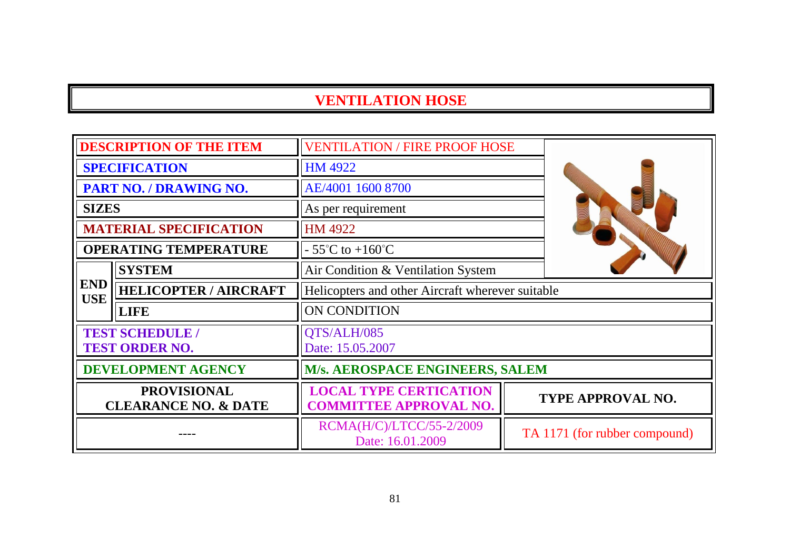| <b>DESCRIPTION OF THE ITEM</b>                        |                               | <b>VENTILATION / FIRE PROOF HOSE</b>                           |  |                               |
|-------------------------------------------------------|-------------------------------|----------------------------------------------------------------|--|-------------------------------|
| <b>SPECIFICATION</b>                                  |                               | <b>HM 4922</b>                                                 |  |                               |
| PART NO. / DRAWING NO.                                |                               | AE/4001 1600 8700                                              |  |                               |
| <b>SIZES</b>                                          |                               | As per requirement                                             |  |                               |
|                                                       | <b>MATERIAL SPECIFICATION</b> | HM 4922                                                        |  |                               |
|                                                       | <b>OPERATING TEMPERATURE</b>  | $-55^{\circ}$ C to $+160^{\circ}$ C                            |  |                               |
|                                                       | <b>SYSTEM</b>                 | Air Condition & Ventilation System                             |  |                               |
| <b>END</b><br><b>USE</b>                              | <b>HELICOPTER / AIRCRAFT</b>  | Helicopters and other Aircraft wherever suitable               |  |                               |
|                                                       | <b>LIFE</b>                   | ON CONDITION                                                   |  |                               |
| <b>TEST SCHEDULE /</b><br><b>TEST ORDER NO.</b>       |                               | QTS/ALH/085<br>Date: 15.05.2007                                |  |                               |
| <b>DEVELOPMENT AGENCY</b>                             |                               | M/s. AEROSPACE ENGINEERS, SALEM                                |  |                               |
| <b>PROVISIONAL</b><br><b>CLEARANCE NO. &amp; DATE</b> |                               | <b>LOCAL TYPE CERTICATION</b><br><b>COMMITTEE APPROVAL NO.</b> |  | <b>TYPE APPROVAL NO.</b>      |
|                                                       |                               | RCMA(H/C)/LTCC/55-2/2009<br>Date: 16.01.2009                   |  | TA 1171 (for rubber compound) |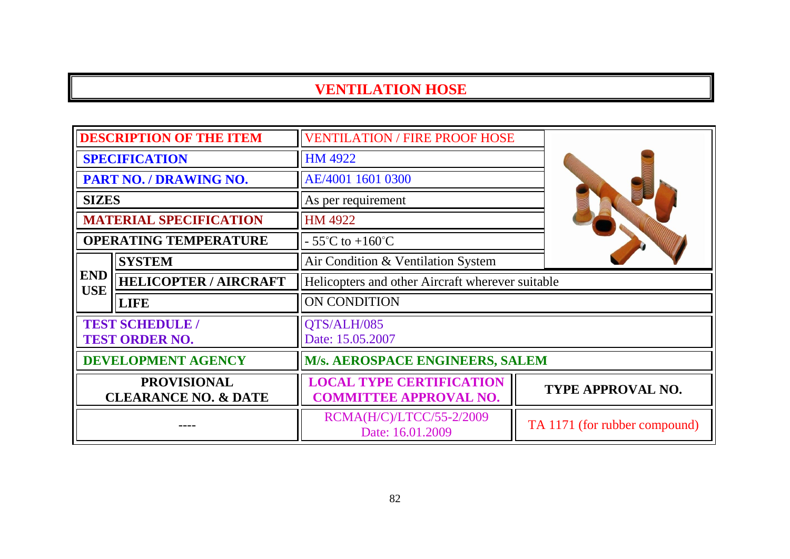| <b>DESCRIPTION OF THE ITEM</b>                        |                               | <b>VENTILATION / FIRE PROOF HOSE</b>                             |                               |  |
|-------------------------------------------------------|-------------------------------|------------------------------------------------------------------|-------------------------------|--|
| <b>SPECIFICATION</b>                                  |                               | HM 4922                                                          |                               |  |
|                                                       | PART NO. / DRAWING NO.        | AE/4001 1601 0300                                                |                               |  |
| <b>SIZES</b>                                          |                               | As per requirement                                               |                               |  |
|                                                       | <b>MATERIAL SPECIFICATION</b> | <b>HM 4922</b>                                                   |                               |  |
|                                                       | <b>OPERATING TEMPERATURE</b>  | $-55^{\circ}$ C to $+160^{\circ}$ C                              |                               |  |
|                                                       | <b>SYSTEM</b>                 | Air Condition & Ventilation System                               |                               |  |
| <b>END</b><br><b>USE</b>                              | <b>HELICOPTER / AIRCRAFT</b>  | Helicopters and other Aircraft wherever suitable                 |                               |  |
|                                                       | <b>LIFE</b>                   | ON CONDITION                                                     |                               |  |
| <b>TEST SCHEDULE /</b><br><b>TEST ORDER NO.</b>       |                               | QTS/ALH/085<br>Date: 15.05.2007                                  |                               |  |
| <b>DEVELOPMENT AGENCY</b>                             |                               | M/s. AEROSPACE ENGINEERS, SALEM                                  |                               |  |
| <b>PROVISIONAL</b><br><b>CLEARANCE NO. &amp; DATE</b> |                               | <b>LOCAL TYPE CERTIFICATION</b><br><b>COMMITTEE APPROVAL NO.</b> | TYPE APPROVAL NO.             |  |
|                                                       |                               | RCMA(H/C)/LTCC/55-2/2009<br>Date: 16.01.2009                     | TA 1171 (for rubber compound) |  |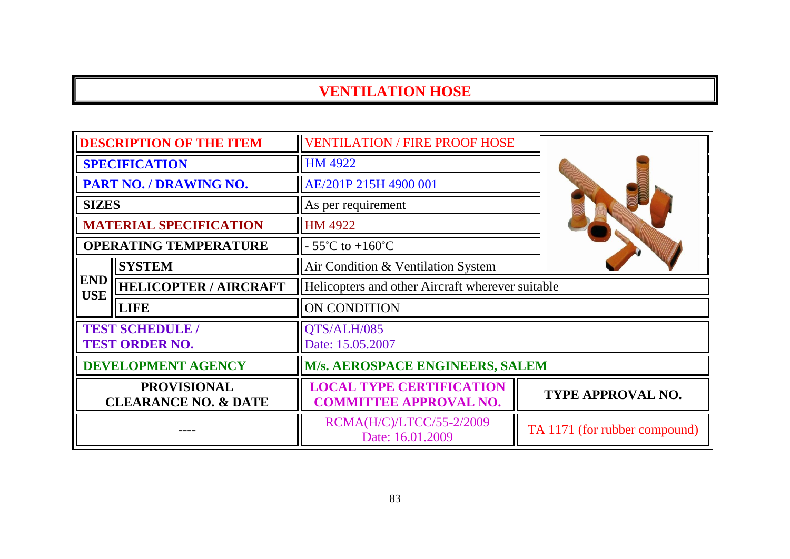| <b>DESCRIPTION OF THE ITEM</b>                        |                                                 | <b>VENTILATION / FIRE PROOF HOSE</b>                             |                               |
|-------------------------------------------------------|-------------------------------------------------|------------------------------------------------------------------|-------------------------------|
|                                                       | <b>SPECIFICATION</b>                            | HM 4922                                                          |                               |
|                                                       | PART NO. / DRAWING NO.                          | AE/201P 215H 4900 001                                            |                               |
| <b>SIZES</b>                                          |                                                 | As per requirement                                               |                               |
|                                                       | <b>MATERIAL SPECIFICATION</b>                   | HM 4922                                                          |                               |
|                                                       | <b>OPERATING TEMPERATURE</b>                    | $-55^{\circ}$ C to $+160^{\circ}$ C                              |                               |
|                                                       | <b>SYSTEM</b>                                   | Air Condition & Ventilation System                               |                               |
| <b>END</b><br><b>USE</b>                              | <b>HELICOPTER / AIRCRAFT</b>                    | Helicopters and other Aircraft wherever suitable                 |                               |
|                                                       | <b>LIFE</b>                                     | <b>ON CONDITION</b>                                              |                               |
|                                                       | <b>TEST SCHEDULE /</b><br><b>TEST ORDER NO.</b> | QTS/ALH/085<br>Date: 15.05.2007                                  |                               |
|                                                       | <b>DEVELOPMENT AGENCY</b>                       | M/s. AEROSPACE ENGINEERS, SALEM                                  |                               |
| <b>PROVISIONAL</b><br><b>CLEARANCE NO. &amp; DATE</b> |                                                 | <b>LOCAL TYPE CERTIFICATION</b><br><b>COMMITTEE APPROVAL NO.</b> | <b>TYPE APPROVAL NO.</b>      |
|                                                       |                                                 | RCMA(H/C)/LTCC/55-2/2009<br>Date: 16.01.2009                     | TA 1171 (for rubber compound) |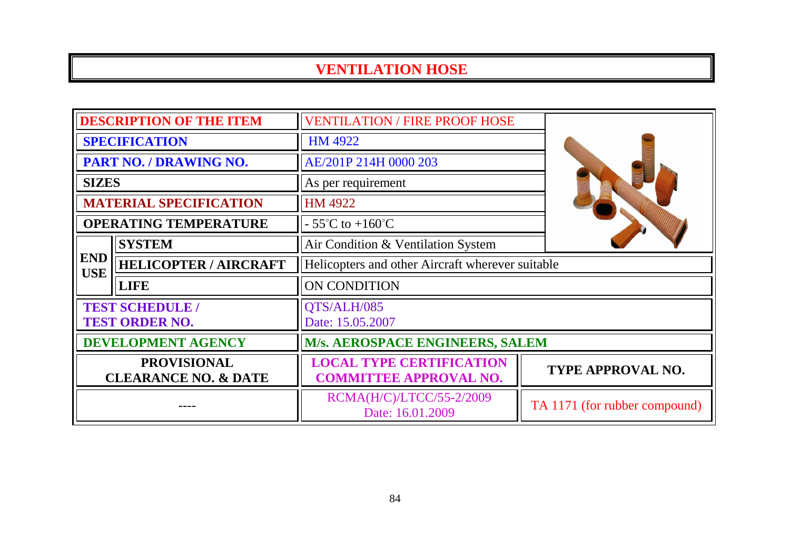| <b>DESCRIPTION OF THE ITEM</b>                        |                               | <b>VENTILATION / FIRE PROOF HOSE</b>                             |                               |
|-------------------------------------------------------|-------------------------------|------------------------------------------------------------------|-------------------------------|
| <b>SPECIFICATION</b>                                  |                               | <b>HM 4922</b>                                                   |                               |
|                                                       | <b>PART NO. / DRAWING NO.</b> | AE/201P 214H 0000 203                                            |                               |
| <b>SIZES</b>                                          |                               | As per requirement                                               |                               |
|                                                       | <b>MATERIAL SPECIFICATION</b> | HM 4922                                                          |                               |
|                                                       | <b>OPERATING TEMPERATURE</b>  | $-55^{\circ}$ C to $+160^{\circ}$ C                              |                               |
|                                                       | <b>SYSTEM</b>                 | Air Condition & Ventilation System                               |                               |
| <b>END</b><br><b>USE</b>                              | <b>HELICOPTER / AIRCRAFT</b>  | Helicopters and other Aircraft wherever suitable                 |                               |
|                                                       | <b>LIFE</b>                   | ON CONDITION                                                     |                               |
| <b>TEST SCHEDULE /</b><br><b>TEST ORDER NO.</b>       |                               | QTS/ALH/085<br>Date: 15.05.2007                                  |                               |
| <b>DEVELOPMENT AGENCY</b>                             |                               | M/s. AEROSPACE ENGINEERS, SALEM                                  |                               |
| <b>PROVISIONAL</b><br><b>CLEARANCE NO. &amp; DATE</b> |                               | <b>LOCAL TYPE CERTIFICATION</b><br><b>COMMITTEE APPROVAL NO.</b> | TYPE APPROVAL NO.             |
|                                                       |                               | RCMA(H/C)/LTCC/55-2/2009<br>Date: 16.01.2009                     | TA 1171 (for rubber compound) |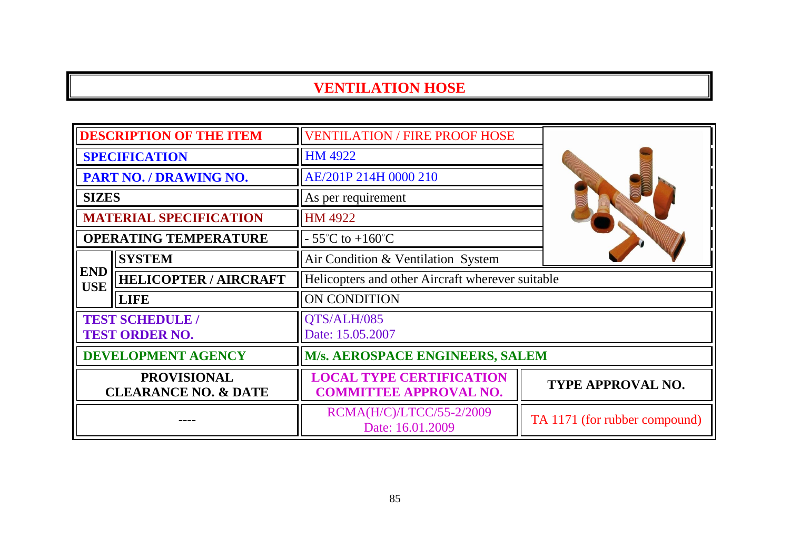| <b>DESCRIPTION OF THE ITEM</b>                        |                                                 | <b>VENTILATION / FIRE PROOF HOSE</b>                             |                               |
|-------------------------------------------------------|-------------------------------------------------|------------------------------------------------------------------|-------------------------------|
| <b>SPECIFICATION</b>                                  |                                                 | <b>HM 4922</b>                                                   |                               |
| PART NO. / DRAWING NO.                                |                                                 | AE/201P 214H 0000 210                                            |                               |
| <b>SIZES</b>                                          |                                                 | As per requirement                                               |                               |
|                                                       | <b>MATERIAL SPECIFICATION</b>                   | HM 4922                                                          |                               |
|                                                       | <b>OPERATING TEMPERATURE</b>                    | $-55^{\circ}$ C to $+160^{\circ}$ C                              |                               |
|                                                       | <b>SYSTEM</b>                                   | Air Condition & Ventilation System                               |                               |
| <b>END</b><br><b>USE</b>                              | <b>HELICOPTER / AIRCRAFT</b>                    | Helicopters and other Aircraft wherever suitable                 |                               |
|                                                       | <b>LIFE</b>                                     | ON CONDITION                                                     |                               |
|                                                       | <b>TEST SCHEDULE /</b><br><b>TEST ORDER NO.</b> | QTS/ALH/085<br>Date: 15.05.2007                                  |                               |
| <b>DEVELOPMENT AGENCY</b>                             |                                                 | M/s. AEROSPACE ENGINEERS, SALEM                                  |                               |
| <b>PROVISIONAL</b><br><b>CLEARANCE NO. &amp; DATE</b> |                                                 | <b>LOCAL TYPE CERTIFICATION</b><br><b>COMMITTEE APPROVAL NO.</b> | TYPE APPROVAL NO.             |
|                                                       |                                                 | RCMA(H/C)/LTCC/55-2/2009<br>Date: 16.01.2009                     | TA 1171 (for rubber compound) |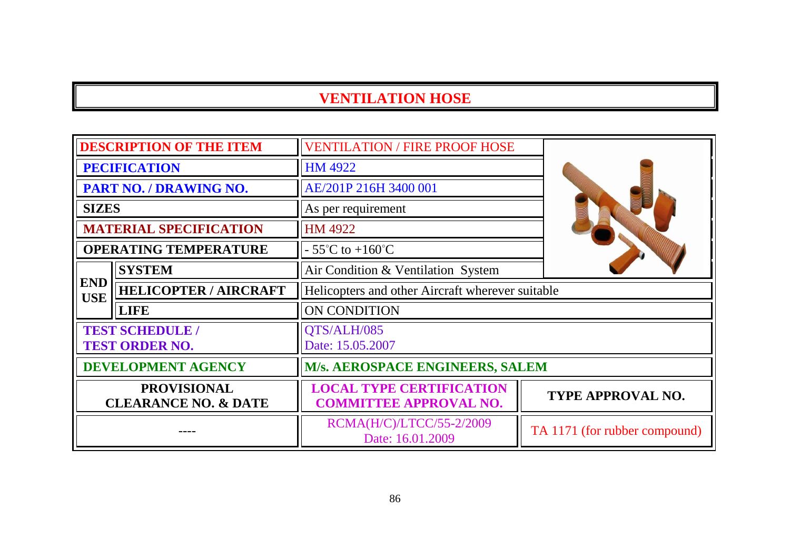| <b>DESCRIPTION OF THE ITEM</b>                        |                                                 | <b>VENTILATION / FIRE PROOF HOSE</b>                             |                               |
|-------------------------------------------------------|-------------------------------------------------|------------------------------------------------------------------|-------------------------------|
| <b>PECIFICATION</b>                                   |                                                 | <b>HM 4922</b>                                                   |                               |
| PART NO. / DRAWING NO.                                |                                                 | AE/201P 216H 3400 001                                            |                               |
| <b>SIZES</b>                                          |                                                 | As per requirement                                               |                               |
|                                                       | <b>MATERIAL SPECIFICATION</b>                   | HM 4922                                                          |                               |
|                                                       | <b>OPERATING TEMPERATURE</b>                    | $-55^{\circ}$ C to $+160^{\circ}$ C                              |                               |
|                                                       | <b>SYSTEM</b>                                   | Air Condition & Ventilation System                               |                               |
| <b>END</b><br><b>USE</b>                              | <b>HELICOPTER / AIRCRAFT</b>                    | Helicopters and other Aircraft wherever suitable                 |                               |
|                                                       | <b>LIFE</b>                                     | ON CONDITION                                                     |                               |
|                                                       | <b>TEST SCHEDULE /</b><br><b>TEST ORDER NO.</b> | QTS/ALH/085<br>Date: 15.05.2007                                  |                               |
| <b>DEVELOPMENT AGENCY</b>                             |                                                 | M/s. AEROSPACE ENGINEERS, SALEM                                  |                               |
| <b>PROVISIONAL</b><br><b>CLEARANCE NO. &amp; DATE</b> |                                                 | <b>LOCAL TYPE CERTIFICATION</b><br><b>COMMITTEE APPROVAL NO.</b> | TYPE APPROVAL NO.             |
|                                                       |                                                 | RCMA(H/C)/LTCC/55-2/2009<br>Date: 16.01.2009                     | TA 1171 (for rubber compound) |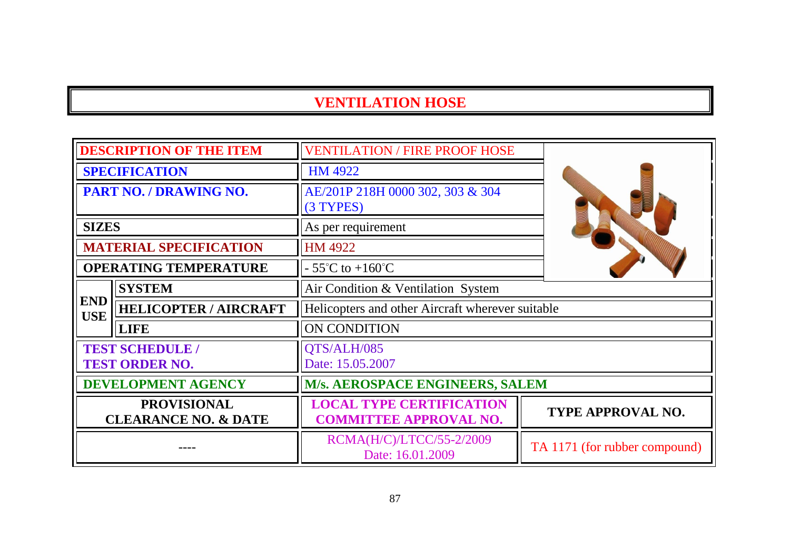|                                                       | <b>DESCRIPTION OF THE ITEM</b>                  | <b>VENTILATION / FIRE PROOF HOSE</b>                             |                               |
|-------------------------------------------------------|-------------------------------------------------|------------------------------------------------------------------|-------------------------------|
| <b>SPECIFICATION</b>                                  |                                                 | <b>HM 4922</b>                                                   |                               |
| <b>PART NO. / DRAWING NO.</b>                         |                                                 | AE/201P 218H 0000 302, 303 & 304<br>(3 TYPES)                    |                               |
| <b>SIZES</b>                                          |                                                 | As per requirement                                               |                               |
|                                                       | <b>MATERIAL SPECIFICATION</b>                   | HM 4922                                                          |                               |
|                                                       | <b>OPERATING TEMPERATURE</b>                    | $-55^{\circ}$ C to $+160^{\circ}$ C                              |                               |
|                                                       | <b>SYSTEM</b>                                   | Air Condition & Ventilation System                               |                               |
| <b>END</b><br><b>USE</b>                              | <b>HELICOPTER / AIRCRAFT</b>                    | Helicopters and other Aircraft wherever suitable                 |                               |
|                                                       | <b>LIFE</b>                                     | <b>ON CONDITION</b>                                              |                               |
|                                                       | <b>TEST SCHEDULE /</b><br><b>TEST ORDER NO.</b> | QTS/ALH/085<br>Date: 15.05.2007                                  |                               |
| <b>DEVELOPMENT AGENCY</b>                             |                                                 | M/s. AEROSPACE ENGINEERS, SALEM                                  |                               |
| <b>PROVISIONAL</b><br><b>CLEARANCE NO. &amp; DATE</b> |                                                 | <b>LOCAL TYPE CERTIFICATION</b><br><b>COMMITTEE APPROVAL NO.</b> | TYPE APPROVAL NO.             |
|                                                       |                                                 | RCMA(H/C)/LTCC/55-2/2009<br>Date: 16.01.2009                     | TA 1171 (for rubber compound) |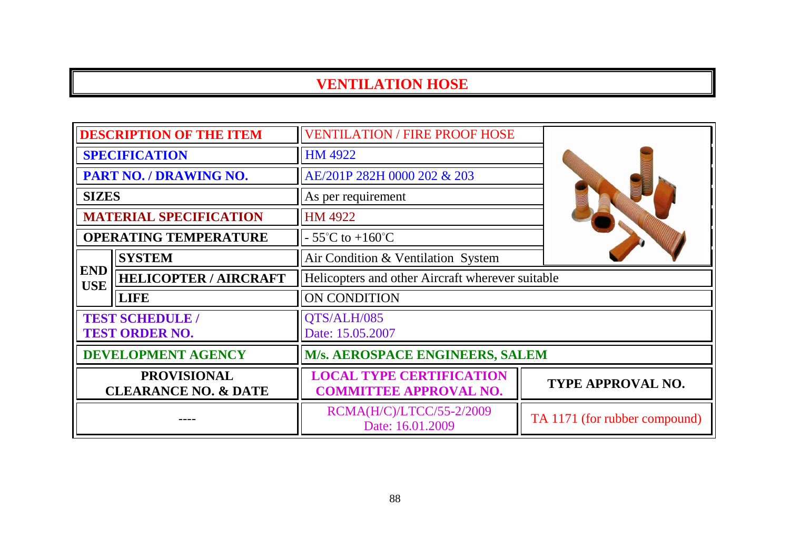| <b>DESCRIPTION OF THE ITEM</b>                        |                                                 | <b>VENTILATION / FIRE PROOF HOSE</b>                             |                               |  |
|-------------------------------------------------------|-------------------------------------------------|------------------------------------------------------------------|-------------------------------|--|
| <b>SPECIFICATION</b>                                  |                                                 | <b>HM 4922</b>                                                   |                               |  |
| PART NO. / DRAWING NO.                                |                                                 | AE/201P 282H 0000 202 & 203                                      |                               |  |
| <b>SIZES</b>                                          |                                                 | As per requirement                                               |                               |  |
|                                                       | <b>MATERIAL SPECIFICATION</b>                   | <b>HM 4922</b>                                                   |                               |  |
|                                                       | <b>OPERATING TEMPERATURE</b>                    | $-55^{\circ}$ C to $+160^{\circ}$ C                              |                               |  |
|                                                       | <b>SYSTEM</b>                                   | Air Condition & Ventilation System                               |                               |  |
| <b>END</b><br><b>USE</b>                              | <b>HELICOPTER / AIRCRAFT</b>                    | Helicopters and other Aircraft wherever suitable                 |                               |  |
|                                                       | <b>LIFE</b>                                     | ON CONDITION                                                     |                               |  |
|                                                       | <b>TEST SCHEDULE /</b><br><b>TEST ORDER NO.</b> | QTS/ALH/085<br>Date: 15.05.2007                                  |                               |  |
| <b>DEVELOPMENT AGENCY</b>                             |                                                 | <b>M/s. AEROSPACE ENGINEERS, SALEM</b>                           |                               |  |
| <b>PROVISIONAL</b><br><b>CLEARANCE NO. &amp; DATE</b> |                                                 | <b>LOCAL TYPE CERTIFICATION</b><br><b>COMMITTEE APPROVAL NO.</b> | <b>TYPE APPROVAL NO.</b>      |  |
|                                                       |                                                 | RCMA(H/C)/LTCC/55-2/2009<br>Date: 16.01.2009                     | TA 1171 (for rubber compound) |  |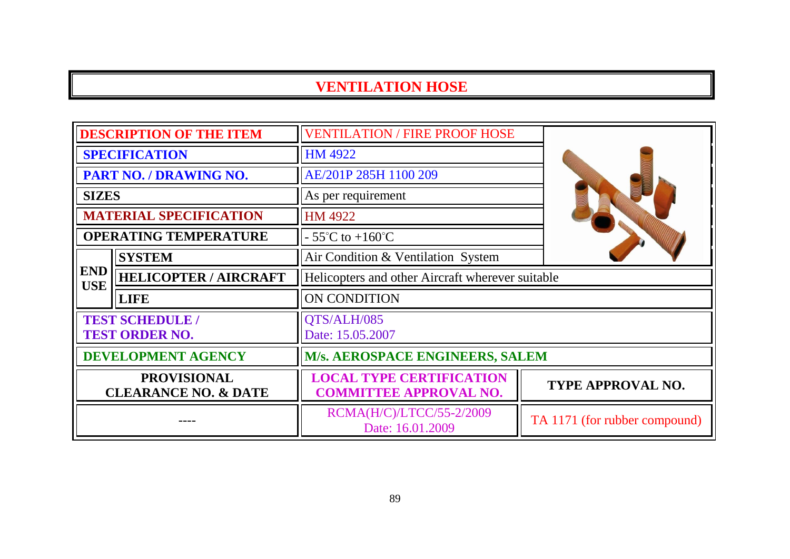|                                                       | <b>DESCRIPTION OF THE ITEM</b> | <b>VENTILATION / FIRE PROOF HOSE</b>                             |                               |
|-------------------------------------------------------|--------------------------------|------------------------------------------------------------------|-------------------------------|
| <b>SPECIFICATION</b>                                  |                                | HM 4922                                                          |                               |
| PART NO. / DRAWING NO.                                |                                | AE/201P 285H 1100 209                                            |                               |
| <b>SIZES</b>                                          |                                | As per requirement                                               |                               |
|                                                       | <b>MATERIAL SPECIFICATION</b>  | HM 4922                                                          |                               |
|                                                       | <b>OPERATING TEMPERATURE</b>   | $-55^{\circ}$ C to $+160^{\circ}$ C                              |                               |
|                                                       | <b>SYSTEM</b>                  | Air Condition & Ventilation System                               |                               |
| <b>END</b><br><b>USE</b>                              | <b>HELICOPTER / AIRCRAFT</b>   | Helicopters and other Aircraft wherever suitable                 |                               |
|                                                       | <b>LIFE</b>                    | ON CONDITION                                                     |                               |
| <b>TEST SCHEDULE /</b><br><b>TEST ORDER NO.</b>       |                                | QTS/ALH/085<br>Date: 15.05.2007                                  |                               |
| <b>DEVELOPMENT AGENCY</b>                             |                                | M/s. AEROSPACE ENGINEERS, SALEM                                  |                               |
| <b>PROVISIONAL</b><br><b>CLEARANCE NO. &amp; DATE</b> |                                | <b>LOCAL TYPE CERTIFICATION</b><br><b>COMMITTEE APPROVAL NO.</b> | TYPE APPROVAL NO.             |
|                                                       |                                | RCMA(H/C)/LTCC/55-2/2009<br>Date: 16.01.2009                     | TA 1171 (for rubber compound) |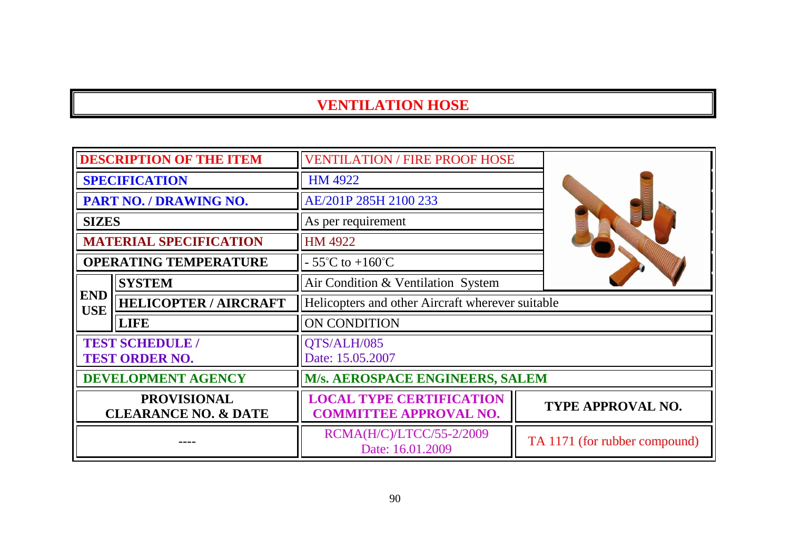| <b>DESCRIPTION OF THE ITEM</b>                        |                               | <b>VENTILATION / FIRE PROOF HOSE</b>                             |                               |
|-------------------------------------------------------|-------------------------------|------------------------------------------------------------------|-------------------------------|
| <b>SPECIFICATION</b>                                  |                               | <b>HM 4922</b>                                                   |                               |
| PART NO. / DRAWING NO.                                |                               | AE/201P 285H 2100 233                                            |                               |
| <b>SIZES</b>                                          |                               | As per requirement                                               |                               |
|                                                       | <b>MATERIAL SPECIFICATION</b> | HM 4922                                                          |                               |
|                                                       | <b>OPERATING TEMPERATURE</b>  | $-55^{\circ}$ C to $+160^{\circ}$ C                              |                               |
|                                                       | <b>SYSTEM</b>                 | Air Condition & Ventilation System                               |                               |
| <b>END</b><br><b>USE</b>                              | <b>HELICOPTER / AIRCRAFT</b>  | Helicopters and other Aircraft wherever suitable                 |                               |
|                                                       | <b>LIFE</b>                   | ON CONDITION                                                     |                               |
| <b>TEST SCHEDULE /</b><br><b>TEST ORDER NO.</b>       |                               | QTS/ALH/085<br>Date: 15.05.2007                                  |                               |
| <b>DEVELOPMENT AGENCY</b>                             |                               | M/s. AEROSPACE ENGINEERS, SALEM                                  |                               |
| <b>PROVISIONAL</b><br><b>CLEARANCE NO. &amp; DATE</b> |                               | <b>LOCAL TYPE CERTIFICATION</b><br><b>COMMITTEE APPROVAL NO.</b> | TYPE APPROVAL NO.             |
|                                                       |                               | RCMA(H/C)/LTCC/55-2/2009<br>Date: 16.01.2009                     | TA 1171 (for rubber compound) |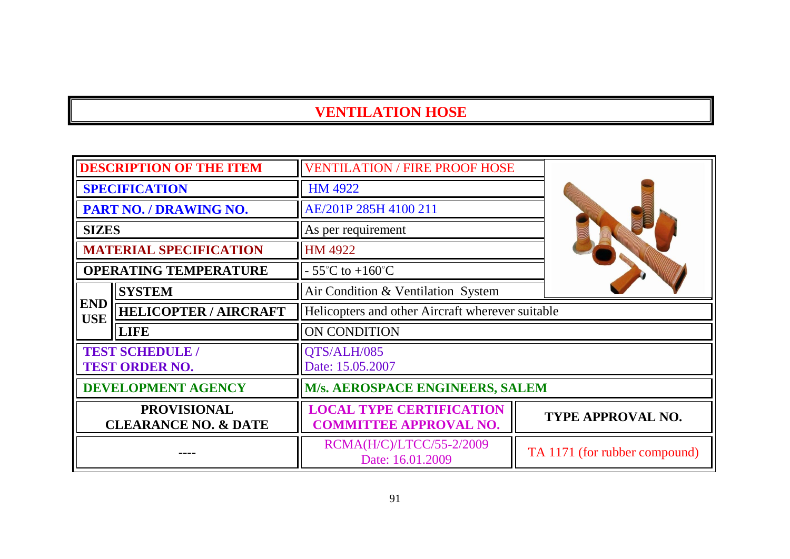| <b>DESCRIPTION OF THE ITEM</b>                        |                                                 | <b>VENTILATION / FIRE PROOF HOSE</b>                             |                               |  |
|-------------------------------------------------------|-------------------------------------------------|------------------------------------------------------------------|-------------------------------|--|
| <b>SPECIFICATION</b>                                  |                                                 | <b>HM 4922</b>                                                   |                               |  |
| PART NO. / DRAWING NO.                                |                                                 | AE/201P 285H 4100 211                                            |                               |  |
| <b>SIZES</b>                                          |                                                 | As per requirement                                               |                               |  |
|                                                       | <b>MATERIAL SPECIFICATION</b>                   | HM 4922                                                          |                               |  |
|                                                       | <b>OPERATING TEMPERATURE</b>                    | $-55^{\circ}$ C to $+160^{\circ}$ C                              |                               |  |
|                                                       | <b>SYSTEM</b>                                   | Air Condition & Ventilation System                               |                               |  |
| <b>END</b><br><b>USE</b>                              | <b>HELICOPTER / AIRCRAFT</b>                    | Helicopters and other Aircraft wherever suitable                 |                               |  |
|                                                       | LIFE                                            | ON CONDITION                                                     |                               |  |
|                                                       | <b>TEST SCHEDULE /</b><br><b>TEST ORDER NO.</b> | QTS/ALH/085<br>Date: 15.05.2007                                  |                               |  |
| <b>DEVELOPMENT AGENCY</b>                             |                                                 | <b>M/s. AEROSPACE ENGINEERS, SALEM</b>                           |                               |  |
| <b>PROVISIONAL</b><br><b>CLEARANCE NO. &amp; DATE</b> |                                                 | <b>LOCAL TYPE CERTIFICATION</b><br><b>COMMITTEE APPROVAL NO.</b> | <b>TYPE APPROVAL NO.</b>      |  |
|                                                       |                                                 | RCMA(H/C)/LTCC/55-2/2009<br>Date: 16.01.2009                     | TA 1171 (for rubber compound) |  |